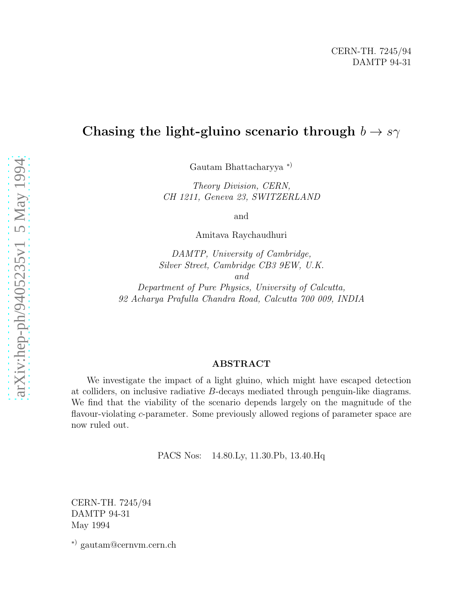# Chasing the light-gluino scenario through  $b \to s\gamma$

Gautam Bhattacharyya ∗ )

Theory Division, CERN, CH 1211, Geneva 23, SWITZERLAND

and

Amitava Raychaudhuri

DAMTP, University of Cambridge, Silver Street, Cambridge CB3 9EW, U.K. and

Department of Pure Physics, University of Calcutta, 92 Acharya Prafulla Chandra Road, Calcutta 700 009, INDIA

#### ABSTRACT

We investigate the impact of a light gluino, which might have escaped detection at colliders, on inclusive radiative B-decays mediated through penguin-like diagrams. We find that the viability of the scenario depends largely on the magnitude of the flavour-violating c-parameter. Some previously allowed regions of parameter space are now ruled out.

PACS Nos: 14.80.Ly, 11.30.Pb, 13.40.Hq

CERN-TH. 7245/94 DAMTP 94-31 May 1994

∗) gautam@cernvm.cern.ch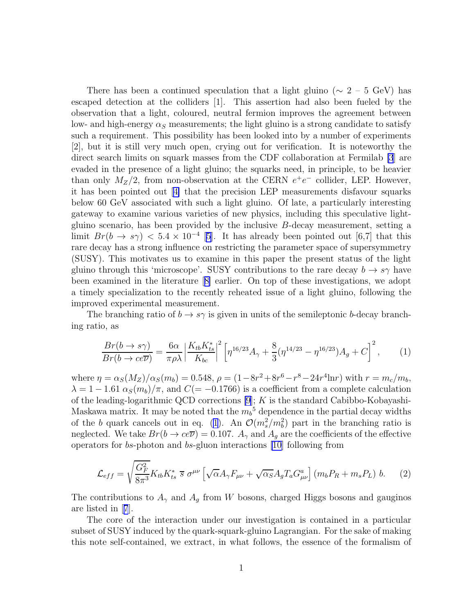<span id="page-1-0"></span>There has been a continued speculation that a light gluino ( $\sim 2 - 5$  GeV) has escaped detection at the colliders [1]. This assertion had also been fueled by the observation that a light, coloured, neutral fermion improves the agreement between low- and high-energy  $\alpha_S$  measurements; the light gluino is a strong candidate to satisfy such a requirement. This possibility has been looked into by a number of experiments [2], but it is still very much open, crying out for verification. It is noteworthy the direct search limits on squark masses from the CDF collaboration at Fermilab [\[3](#page-5-0)] are evaded in the presence of a light gluino; the squarks need, in principle, to be heavier than only  $M_Z/2$ , from non-observation at the CERN  $e^+e^-$  collider, LEP. However, it has been pointed out[[4\]](#page-5-0) that the precision LEP measurements disfavour squarks below 60 GeV associated with such a light gluino. Of late, a particularly interesting gateway to examine various varieties of new physics, including this speculative lightgluino scenario, has been provided by the inclusive B-decay measurement, setting a limit  $Br(b \to s\gamma) < 5.4 \times 10^{-4}$  [\[5\]](#page-5-0). It has already been pointed out [6,7] that this rare decay has a strong influence on restricting the parameter space of supersymmetry (SUSY). This motivates us to examine in this paper the present status of the light gluino through this 'microscope'. SUSY contributions to the rare decay  $b \to s\gamma$  have been examined in the literature[[8\]](#page-5-0) earlier. On top of these investigations, we adopt a timely specialization to the recently reheated issue of a light gluino, following the improved experimental measurement.

The branching ratio of  $b \to s\gamma$  is given in units of the semileptonic b-decay branching ratio, as

$$
\frac{Br(b \to s\gamma)}{Br(b \to ce\overline{\nu})} = \frac{6\alpha}{\pi \rho \lambda} \left| \frac{K_{tb} K_{ts}^*}{K_{bc}} \right|^2 \left[ \eta^{16/23} A_\gamma + \frac{8}{3} (\eta^{14/23} - \eta^{16/23}) A_g + C \right]^2, \tag{1}
$$

where  $\eta = \alpha_S(M_Z)/\alpha_S(m_b) = 0.548$ ,  $\rho = (1 - 8r^2 + 8r^6 - r^8 - 24r^4 \ln r)$  with  $r = m_c/m_b$ ,  $\lambda = 1 - 1.61 \alpha_S(m_b)/\pi$ , and  $C(=-0.1766)$  is a coefficient from a complete calculation of the leading-logarithmic QCD corrections  $[9]$ ; K is the standard Cabibbo-Kobayashi-Maskawa matrix. It may be noted that the  $m_b$ <sup>5</sup> dependence in the partial decay widths of the b quark cancels out in eq. (1). An  $\mathcal{O}(m_s^2/m_b^2)$  part in the branching ratio is neglected. We take  $Br(b \to ce\overline{\nu}) = 0.107$ .  $A_{\gamma}$  and  $A_{q}$  are the coefficients of the effective operators for bs-photon and bs-gluon interactions [\[10](#page-5-0)] following from

$$
\mathcal{L}_{eff} = \sqrt{\frac{G_F^2}{8\pi^3}} K_{tb} K_{ts}^* \ \overline{s} \ \sigma^{\mu\nu} \left[ \sqrt{\alpha} A_\gamma F_{\mu\nu} + \sqrt{\alpha_S} A_g T_a G_{\mu\nu}^a \right] \left( m_b P_R + m_s P_L \right) \ b. \tag{2}
$$

The contributions to  $A_{\gamma}$  and  $A_g$  from W bosons, charged Higgs bosons and gauginos are listed in[[7](#page-5-0)].

The core of the interaction under our investigation is contained in a particular subset of SUSY induced by the quark-squark-gluino Lagrangian. For the sake of making this note self-contained, we extract, in what follows, the essence of the formalism of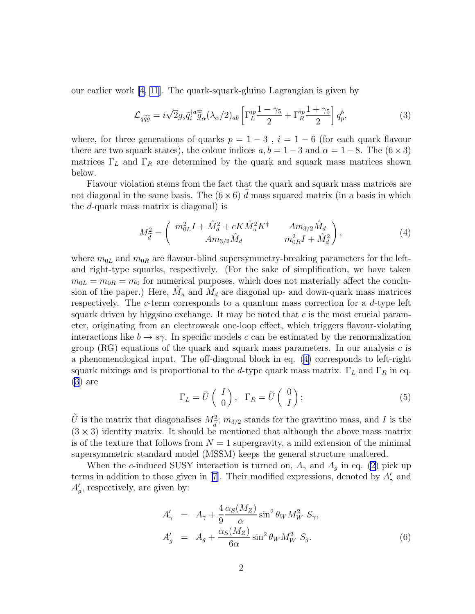<span id="page-2-0"></span>our earlier work [\[4](#page-5-0), [11](#page-5-0)]. The quark-squark-gluino Lagrangian is given by

$$
\mathcal{L}_{q\widetilde{q}\widetilde{g}} = i\sqrt{2}g_s\widetilde{q}_i^{\dagger a}\overline{\widetilde{g}}_{\alpha}(\lambda_{\alpha}/2)_{ab} \left[\Gamma_L^{ip}\frac{1-\gamma_5}{2} + \Gamma_R^{ip}\frac{1+\gamma_5}{2}\right]q_p^b, \tag{3}
$$

where, for three generations of quarks  $p = 1 - 3$ ,  $i = 1 - 6$  (for each quark flavour there are two squark states), the colour indices  $a, b = 1 - 3$  and  $\alpha = 1 - 8$ . The  $(6 \times 3)$ matrices  $\Gamma_L$  and  $\Gamma_R$  are determined by the quark and squark mass matrices shown below.

Flavour violation stems from the fact that the quark and squark mass matrices are not diagonal in the same basis. The  $(6 \times 6)$  d mass squared matrix (in a basis in which the d-quark mass matrix is diagonal) is

$$
M_{\tilde{d}}^2 = \begin{pmatrix} m_{0L}^2 I + \hat{M}_d^2 + cK \hat{M}_u^2 K^\dagger & Am_{3/2} \hat{M}_d \\ Am_{3/2} \hat{M}_d & m_{0R}^2 I + \hat{M}_d^2 \end{pmatrix},
$$
(4)

where  $m_{0L}$  and  $m_{0R}$  are flavour-blind supersymmetry-breaking parameters for the leftand right-type squarks, respectively. (For the sake of simplification, we have taken  $m_{0L} = m_{0R} = m_0$  for numerical purposes, which does not materially affect the conclusion of the paper.) Here,  $\hat{M}_u$  and  $\hat{M}_d$  are diagonal up- and down-quark mass matrices respectively. The c-term corresponds to a quantum mass correction for a d-type left squark driven by higgsino exchange. It may be noted that  $c$  is the most crucial parameter, originating from an electroweak one-loop effect, which triggers flavour-violating interactions like  $b \to s\gamma$ . In specific models c can be estimated by the renormalization group (RG) equations of the quark and squark mass parameters. In our analysis  $c$  is a phenomenological input. The off-diagonal block in eq. (4) corresponds to left-right squark mixings and is proportional to the d-type quark mass matrix.  $\Gamma_L$  and  $\Gamma_R$  in eq. (3) are

$$
\Gamma_L = \tilde{U} \begin{pmatrix} I \\ 0 \end{pmatrix}, \quad \Gamma_R = \tilde{U} \begin{pmatrix} 0 \\ I \end{pmatrix}; \tag{5}
$$

 $\tilde{U}$  is the matrix that diagonalises  $M_{\tilde{d}}^2$  $\frac{d}{\alpha}$ ;  $m_{3/2}$  stands for the gravitino mass, and I is the  $(3 \times 3)$  identity matrix. It should be mentioned that although the above mass matrix is of the texture that follows from  $N = 1$  supergravity, a mild extension of the minimal supersymmetric standard model (MSSM) keeps the general structure unaltered.

When the c-induced SUSY interaction is turned on,  $A_{\gamma}$  and  $A_g$  in eq. [\(2](#page-1-0)) pick up termsin addition to those given in [[7\]](#page-5-0). Their modified expressions, denoted by  $A'_{\gamma}$  and  $A'_{g}$ , respectively, are given by:

$$
A'_{\gamma} = A_{\gamma} + \frac{4}{9} \frac{\alpha_S(M_Z)}{\alpha} \sin^2 \theta_W M_W^2 S_{\gamma},
$$
  

$$
A'_{g} = A_{g} + \frac{\alpha_S(M_Z)}{6\alpha} \sin^2 \theta_W M_W^2 S_{g}.
$$
 (6)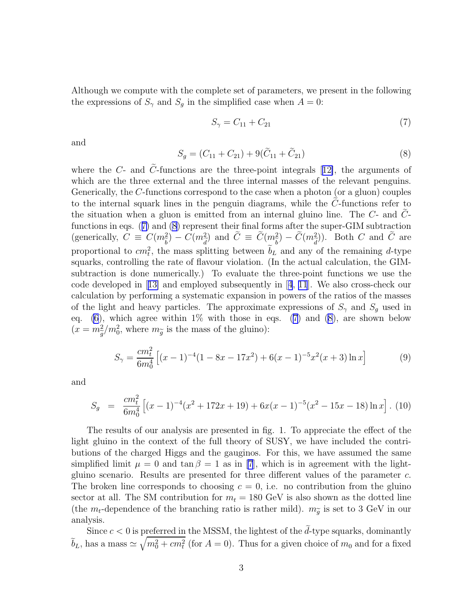Although we compute with the complete set of parameters, we present in the following the expressions of  $S_{\gamma}$  and  $S_g$  in the simplified case when  $A = 0$ :

$$
S_{\gamma} = C_{11} + C_{21} \tag{7}
$$

and

$$
S_g = (C_{11} + C_{21}) + 9(\tilde{C}_{11} + \tilde{C}_{21})
$$
\n(8)

wherethe C- and  $\tilde{C}$ -functions are the three-point integrals [[12\]](#page-5-0), the arguments of which are the three external and the three internal masses of the relevant penguins. Generically, the C-functions correspond to the case when a photon (or a gluon) couples to the internal squark lines in the penguin diagrams, while the  $C$ -functions refer to the situation when a gluon is emitted from an internal gluino line. The  $C$ - and  $C$ functions in eqs. (7) and (8) represent their final forms after the super-GIM subtraction (generically,  $C \equiv C(m_{\tilde{b}}^2) - C(m_{\tilde{d}}^2)$  and  $\tilde{C} \equiv \tilde{C}(m_{\tilde{b}}^2) - \tilde{C}(m_{\tilde{d}}^2)$  $\langle$ ). Both C and C are proportional to  $cm_t^2$ , the mass splitting between  $b_L$  and any of the remaining d-type squarks, controlling the rate of flavour violation. (In the actual calculation, the GIMsubtraction is done numerically.) To evaluate the three-point functions we use the code developed in[[13\]](#page-5-0) and employed subsequently in[[4](#page-5-0), [11](#page-5-0)]. We also cross-check our calculation by performing a systematic expansion in powers of the ratios of the masses of the light and heavy particles. The approximate expressions of  $S_{\gamma}$  and  $S_{q}$  used in eq. [\(6](#page-2-0)), which agree within  $1\%$  with those in eqs. (7) and (8), are shown below  $(x = m_{\widetilde{\sigma}}^2)$  $\tilde{g}$  $/m_0^2$ , where  $m_{\widetilde{g}}$  is the mass of the gluino):

$$
S_{\gamma} = \frac{cm_t^2}{6m_0^4} \left[ (x-1)^{-4} (1 - 8x - 17x^2) + 6(x-1)^{-5} x^2 (x+3) \ln x \right]
$$
(9)

and

$$
S_g = \frac{cm_t^2}{6m_0^4} \left[ (x-1)^{-4} (x^2 + 172x + 19) + 6x(x-1)^{-5} (x^2 - 15x - 18) \ln x \right]. \tag{10}
$$

The results of our analysis are presented in fig. 1. To appreciate the effect of the light gluino in the context of the full theory of SUSY, we have included the contributions of the charged Higgs and the gauginos. For this, we have assumed the same simplified limit  $\mu = 0$  and  $\tan \beta = 1$  as in [\[7](#page-5-0)], which is in agreement with the lightgluino scenario. Results are presented for three different values of the parameter c. The broken line corresponds to choosing  $c = 0$ , i.e. no contribution from the gluino sector at all. The SM contribution for  $m_t = 180$  GeV is also shown as the dotted line (the  $m_t$ -dependence of the branching ratio is rather mild).  $m_{\tilde{g}}$  is set to 3 GeV in our analysis analysis.

Since  $c < 0$  is preferred in the MSSM, the lightest of the  $\tilde{d}$ -type squarks, dominantly  $\tilde{b}_L$ , has a mass  $\simeq \sqrt{m_0^2 + cm_t^2}$  (for  $A = 0$ ). Thus for a given choice of  $m_0$  and for a fixed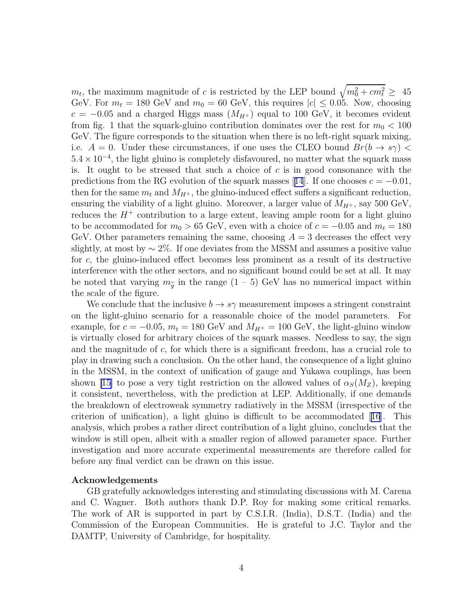$m_t$ , the maximum magnitude of c is restricted by the LEP bound  $\sqrt{m_0^2 + cm_t^2} \geq 45$ GeV. For  $m_t = 180$  GeV and  $m_0 = 60$  GeV, this requires  $|c| \leq 0.05$ . Now, choosing  $c = -0.05$  and a charged Higgs mass  $(M_{H<sup>+</sup>})$  equal to 100 GeV, it becomes evident from fig. 1 that the squark-gluino contribution dominates over the rest for  $m_0 < 100$ GeV. The figure corresponds to the situation when there is no left-right squark mixing, i.e.  $A = 0$ . Under these circumstances, if one uses the CLEO bound  $Br(b \to s\gamma)$  $5.4 \times 10^{-4}$ , the light gluino is completely disfavoured, no matter what the squark mass is. It ought to be stressed that such a choice of  $c$  is in good consonance with the predictionsfrom the RG evolution of the squark masses [[14](#page-6-0)]. If one chooses  $c = -0.01$ , then for the same  $m_t$  and  $M_{H^+}$ , the gluino-induced effect suffers a significant reduction, ensuring the viability of a light gluino. Moreover, a larger value of  $M_{H^+}$ , say 500 GeV, reduces the  $H^+$  contribution to a large extent, leaving ample room for a light gluino to be accommodated for  $m_0 > 65$  GeV, even with a choice of  $c = -0.05$  and  $m_t = 180$ GeV. Other parameters remaining the same, choosing  $A = 3$  decreases the effect very slightly, at most by  $\sim 2\%$ . If one deviates from the MSSM and assumes a positive value for c, the gluino-induced effect becomes less prominent as a result of its destructive interference with the other sectors, and no significant bound could be set at all. It may be noted that varying  $m_{\tilde{g}}$  in the range  $(1-5)$  GeV has no numerical impact within the scale of the figure.

We conclude that the inclusive  $b \to s\gamma$  measurement imposes a stringent constraint on the light-gluino scenario for a reasonable choice of the model parameters. For example, for  $c = -0.05$ ,  $m_t = 180$  GeV and  $M_{H^+} = 100$  GeV, the light-gluino window is virtually closed for arbitrary choices of the squark masses. Needless to say, the sign and the magnitude of c, for which there is a significant freedom, has a crucial role to play in drawing such a conclusion. On the other hand, the consequence of a light gluino in the MSSM, in the context of unification of gauge and Yukawa couplings, has been shown [\[15\]](#page-6-0) to pose a very tight restriction on the allowed values of  $\alpha_S(M_Z)$ , keeping it consistent, nevertheless, with the prediction at LEP. Additionally, if one demands the breakdown of electroweak symmetry radiatively in the MSSM (irrespective of the criterion of unification), a light gluino is difficult to be accommodated[[16](#page-6-0)]. This analysis, which probes a rather direct contribution of a light gluino, concludes that the window is still open, albeit with a smaller region of allowed parameter space. Further investigation and more accurate experimental measurements are therefore called for before any final verdict can be drawn on this issue.

#### Acknowledgements

GB gratefully acknowledges interesting and stimulating discussions with M. Carena and C. Wagner. Both authors thank D.P. Roy for making some critical remarks. The work of AR is supported in part by C.S.I.R. (India), D.S.T. (India) and the Commission of the European Communities. He is grateful to J.C. Taylor and the DAMTP, University of Cambridge, for hospitality.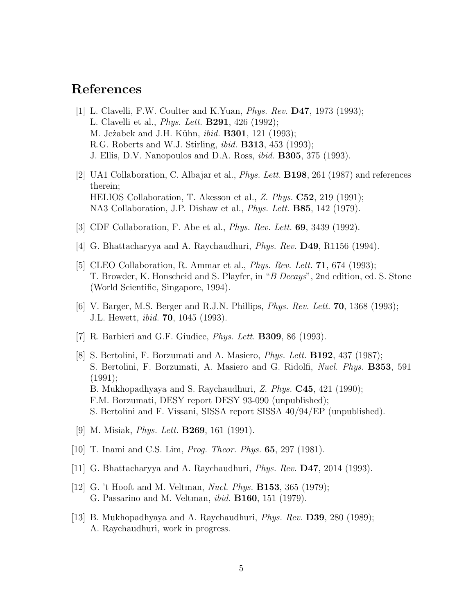## <span id="page-5-0"></span>References

- [1] L. Clavelli, F.W. Coulter and K.Yuan, Phys. Rev. D47, 1973 (1993); L. Clavelli et al., *Phys. Lett.* **B291**, 426 (1992); M. Jeżabek and J.H. Kühn, *ibid.* **B301**, 121 (1993); R.G. Roberts and W.J. Stirling, *ibid.* **B313**, 453 (1993); J. Ellis, D.V. Nanopoulos and D.A. Ross, ibid. B305, 375 (1993).
- [2] UA1 Collaboration, C. Albajar et al., Phys. Lett. B198, 261 (1987) and references therein; HELIOS Collaboration, T. Akesson et al., Z. Phys. C52, 219 (1991); NA3 Collaboration, J.P. Dishaw et al., Phys. Lett. B85, 142 (1979).
- [3] CDF Collaboration, F. Abe et al., Phys. Rev. Lett. 69, 3439 (1992).
- [4] G. Bhattacharyya and A. Raychaudhuri, Phys. Rev. D49, R1156 (1994).
- [5] CLEO Collaboration, R. Ammar et al., *Phys. Rev. Lett.* **71**, 674 (1993); T. Browder, K. Honscheid and S. Playfer, in "B Decays", 2nd edition, ed. S. Stone (World Scientific, Singapore, 1994).
- [6] V. Barger, M.S. Berger and R.J.N. Phillips, Phys. Rev. Lett. 70, 1368 (1993); J.L. Hewett, ibid. 70, 1045 (1993).
- [7] R. Barbieri and G.F. Giudice, Phys. Lett. B309, 86 (1993).
- [8] S. Bertolini, F. Borzumati and A. Masiero, Phys. Lett. B192, 437 (1987); S. Bertolini, F. Borzumati, A. Masiero and G. Ridolfi, Nucl. Phys. B353, 591 (1991); B. Mukhopadhyaya and S. Raychaudhuri, Z. Phys. C45, 421 (1990); F.M. Borzumati, DESY report DESY 93-090 (unpublished); S. Bertolini and F. Vissani, SISSA report SISSA 40/94/EP (unpublished).
- [9] M. Misiak, *Phys. Lett.* **B269**, 161 (1991).
- [10] T. Inami and C.S. Lim, Prog. Theor. Phys. 65, 297 (1981).
- [11] G. Bhattacharyya and A. Raychaudhuri, Phys. Rev. D47, 2014 (1993).
- [12] G. 't Hooft and M. Veltman, *Nucl. Phys.* **B153**, 365 (1979); G. Passarino and M. Veltman, ibid. B160, 151 (1979).
- [13] B. Mukhopadhyaya and A. Raychaudhuri, Phys. Rev. D39, 280 (1989); A. Raychaudhuri, work in progress.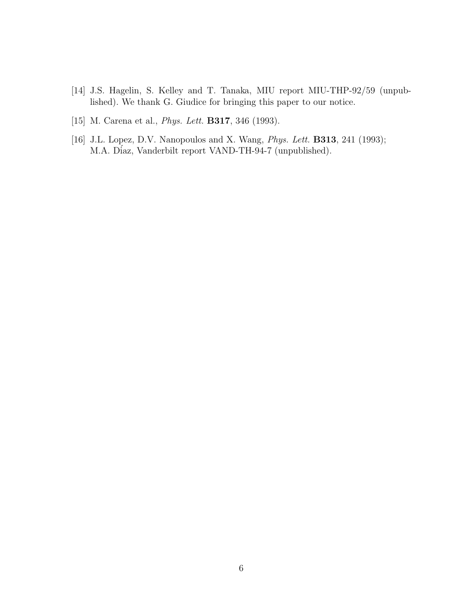- <span id="page-6-0"></span>[14] J.S. Hagelin, S. Kelley and T. Tanaka, MIU report MIU-THP-92/59 (unpublished). We thank G. Giudice for bringing this paper to our notice.
- [15] M. Carena et al., *Phys. Lett.* **B317**, 346 (1993).
- [16] J.L. Lopez, D.V. Nanopoulos and X. Wang, *Phys. Lett.* **B313**, 241 (1993); M.A. Díaz, Vanderbilt report VAND-TH-94-7 (unpublished).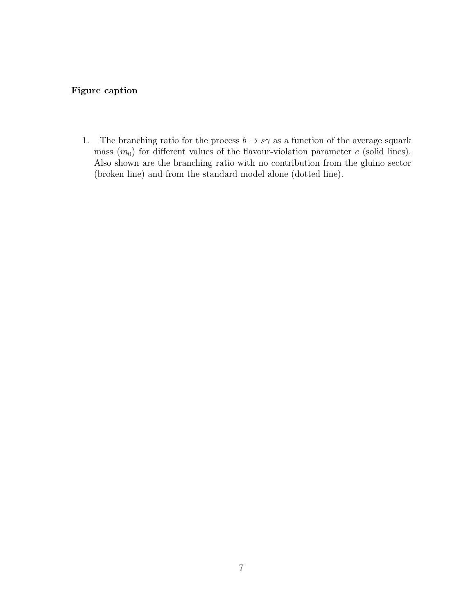### Figure caption

1. The branching ratio for the process  $b \to s\gamma$  as a function of the average squark mass  $(m_0)$  for different values of the flavour-violation parameter c (solid lines). Also shown are the branching ratio with no contribution from the gluino sector (broken line) and from the standard model alone (dotted line).